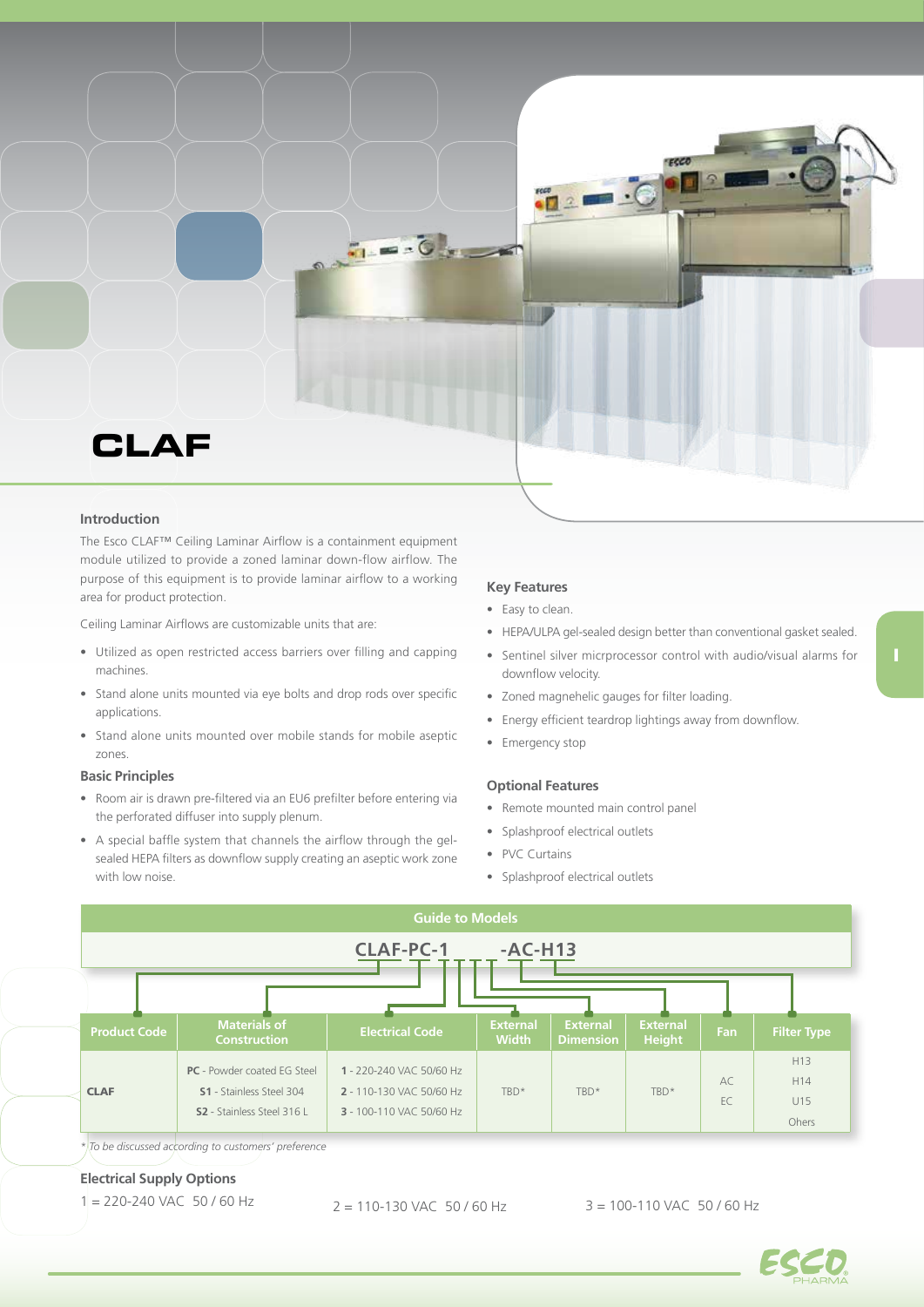

### **Introduction**

The Esco CLAF™ Ceiling Laminar Airflow is a containment equipment module utilized to provide a zoned laminar down-flow airflow. The purpose of this equipment is to provide laminar airflow to a working area for product protection.

Ceiling Laminar Airflows are customizable units that are:

- Utilized as open restricted access barriers over filling and capping machines.
- Stand alone units mounted via eye bolts and drop rods over specific applications.
- Stand alone units mounted over mobile stands for mobile aseptic zones.

## **Basic Principles**

- Room air is drawn pre-filtered via an EU6 prefilter before entering via the perforated diffuser into supply plenum.
- A special baffle system that channels the airflow through the gelsealed HEPA filters as downflow supply creating an aseptic work zone with low noise.

#### **Key Features**

- Easy to clean.
- HEPA/ULPA gel-sealed design better than conventional gasket sealed.
- Sentinel silver micrprocessor control with audio/visual alarms for downflow velocity.
- Zoned magnehelic gauges for filter loading.
- Energy efficient teardrop lightings away from downflow.
- Emergency stop

#### **Optional Features**

- Remote mounted main control panel
- Splashproof electrical outlets
- PVC Curtains
- Splashproof electrical outlets



*\* To be discussed according to customers' preference*

# **Electrical Supply Options**

 $1 = 220 - 240$  VAC 50 / 60 Hz  $2 = 110 - 130$  VAC 50 / 60 Hz  $3 = 100 - 110$  VAC 50 / 60 Hz